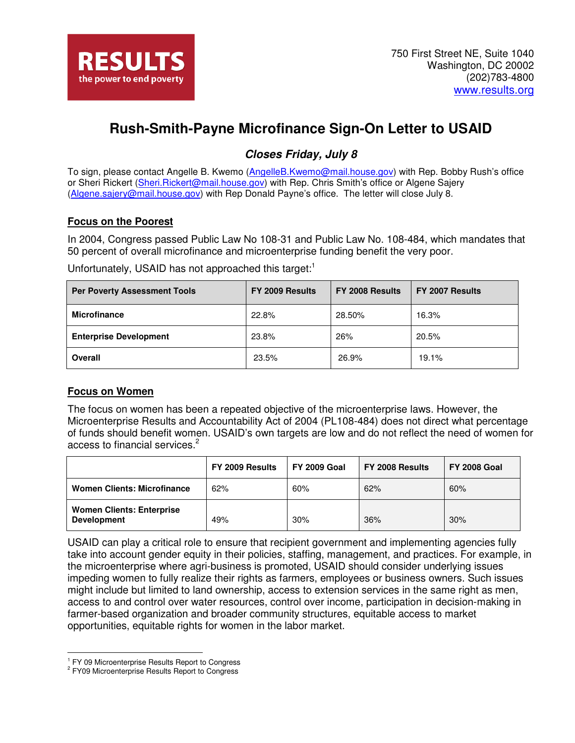# **Rush-Smith-Payne Microfinance Sign-On Letter to USAID**

# **Closes Friday, July 8**

To sign, please contact Angelle B. Kwemo (AngelleB.Kwemo@mail.house.gov) with Rep. Bobby Rush's office or Sheri Rickert (Sheri.Rickert@mail.house.gov) with Rep. Chris Smith's office or Algene Sajery (Algene.sajery@mail.house.gov) with Rep Donald Payne's office. The letter will close July 8.

# **Focus on the Poorest**

In 2004, Congress passed Public Law No 108-31 and Public Law No. 108-484, which mandates that 50 percent of overall microfinance and microenterprise funding benefit the very poor.

Unfortunately, USAID has not approached this target:<sup>1</sup>

| <b>Per Poverty Assessment Tools</b> | FY 2009 Results | <b>FY 2008 Results</b> | FY 2007 Results |
|-------------------------------------|-----------------|------------------------|-----------------|
| <b>Microfinance</b>                 | 22.8%           | 28.50%                 | 16.3%           |
| <b>Enterprise Development</b>       | 23.8%           | 26%                    | 20.5%           |
| Overall                             | 23.5%           | 26.9%                  | 19.1%           |

# **Focus on Women**

The focus on women has been a repeated objective of the microenterprise laws. However, the Microenterprise Results and Accountability Act of 2004 (PL108-484) does not direct what percentage of funds should benefit women. USAID's own targets are low and do not reflect the need of women for access to financial services.<sup>2</sup>

|                                                        | FY 2009 Results | <b>FY 2009 Goal</b> | FY 2008 Results | <b>FY 2008 Goal</b> |
|--------------------------------------------------------|-----------------|---------------------|-----------------|---------------------|
| <b>Women Clients: Microfinance</b>                     | 62%             | 60%                 | 62%             | 60%                 |
| <b>Women Clients: Enterprise</b><br><b>Development</b> | 49%             | 30%                 | 36%             | 30%                 |

USAID can play a critical role to ensure that recipient government and implementing agencies fully take into account gender equity in their policies, staffing, management, and practices. For example, in the microenterprise where agri-business is promoted, USAID should consider underlying issues impeding women to fully realize their rights as farmers, employees or business owners. Such issues might include but limited to land ownership, access to extension services in the same right as men, access to and control over water resources, control over income, participation in decision-making in farmer-based organization and broader community structures, equitable access to market opportunities, equitable rights for women in the labor market.

 $\overline{a}$ 

<sup>&</sup>lt;sup>1</sup> FY 09 Microenterprise Results Report to Congress

<sup>&</sup>lt;sup>2</sup> FY09 Microenterprise Results Report to Congress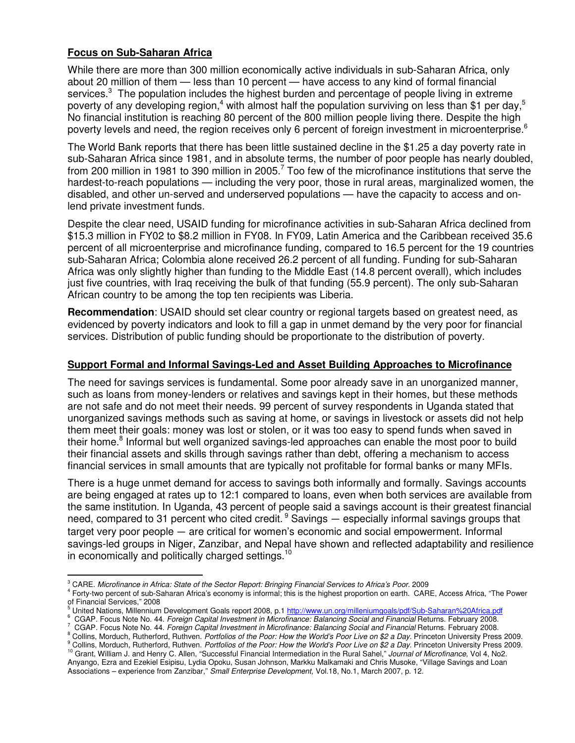### **Focus on Sub-Saharan Africa**

 $\overline{a}$ 

While there are more than 300 million economically active individuals in sub-Saharan Africa, only about 20 million of them — less than 10 percent — have access to any kind of formal financial services. $3$  The population includes the highest burden and percentage of people living in extreme poverty of any developing region,<sup>4</sup> with almost half the population surviving on less than \$1 per day,<sup>5</sup> No financial institution is reaching 80 percent of the 800 million people living there. Despite the high poverty levels and need, the region receives only 6 percent of foreign investment in microenterprise.<sup>6</sup>

The World Bank reports that there has been little sustained decline in the \$1.25 a day poverty rate in sub-Saharan Africa since 1981, and in absolute terms, the number of poor people has nearly doubled, from 200 million in 1981 to 390 million in 2005.<sup>7</sup> Too few of the microfinance institutions that serve the hardest-to-reach populations — including the very poor, those in rural areas, marginalized women, the disabled, and other un-served and underserved populations — have the capacity to access and onlend private investment funds.

Despite the clear need, USAID funding for microfinance activities in sub-Saharan Africa declined from \$15.3 million in FY02 to \$8.2 million in FY08. In FY09, Latin America and the Caribbean received 35.6 percent of all microenterprise and microfinance funding, compared to 16.5 percent for the 19 countries sub-Saharan Africa; Colombia alone received 26.2 percent of all funding. Funding for sub-Saharan Africa was only slightly higher than funding to the Middle East (14.8 percent overall), which includes just five countries, with Iraq receiving the bulk of that funding (55.9 percent). The only sub-Saharan African country to be among the top ten recipients was Liberia.

**Recommendation**: USAID should set clear country or regional targets based on greatest need, as evidenced by poverty indicators and look to fill a gap in unmet demand by the very poor for financial services. Distribution of public funding should be proportionate to the distribution of poverty.

#### **Support Formal and Informal Savings-Led and Asset Building Approaches to Microfinance**

The need for savings services is fundamental. Some poor already save in an unorganized manner, such as loans from money-lenders or relatives and savings kept in their homes, but these methods are not safe and do not meet their needs. 99 percent of survey respondents in Uganda stated that unorganized savings methods such as saving at home, or savings in livestock or assets did not help them meet their goals: money was lost or stolen, or it was too easy to spend funds when saved in their home.<sup>8</sup> Informal but well organized savings-led approaches can enable the most poor to build their financial assets and skills through savings rather than debt, offering a mechanism to access financial services in small amounts that are typically not profitable for formal banks or many MFIs.

There is a huge unmet demand for access to savings both informally and formally. Savings accounts are being engaged at rates up to 12:1 compared to loans, even when both services are available from the same institution. In Uganda, 43 percent of people said a savings account is their greatest financial need, compared to 31 percent who cited credit.<sup>9</sup> Savings  $-$  especially informal savings groups that target very poor people — are critical for women's economic and social empowerment. Informal savings-led groups in Niger, Zanzibar, and Nepal have shown and reflected adaptability and resilience in economically and politically charged settings.<sup>10</sup>

<sup>&</sup>lt;sup>3</sup> CARE. Microfinance in Africa: State of the Sector Report: Bringing Financial Services to Africa's Poor. 2009

<sup>4</sup> Forty-two percent of sub-Saharan Africa's economy is informal; this is the highest proportion on earth. CARE, Access Africa, "The Power of Financial Services," 2008<br><sup>5</sup> United National Millennium

United Nations, Millennium Development Goals report 2008, p.1 http://www.un.org/milleniumgoals/pdf/Sub-Saharan%20Africa.pdf

<sup>6</sup> CGAP. Focus Note No. 44. Foreign Capital Investment in Microfinance: Balancing Social and Financial Returns. February 2008.

<sup>7</sup> CGAP. Focus Note No. 44. Foreign Capital Investment in Microfinance: Balancing Social and Financial Returns. February 2008.

<sup>&</sup>lt;sup>8</sup> Collins, Morduch, Rutherford, Ruthven. *Portfolios of the Poor: How the World's Poor Live on \$2 a Day.* Princeton University Press 2009.

<sup>&</sup>lt;sup>9</sup> Collins, Morduch, Rutherford, Ruthven. *Portfolios of the Poor: How the World's Poor Live on \$2 a Day.* Princeton University Press 2009. <sup>10</sup> Grant, William J. and Henry C. Allen, "Successful Financial Intermediation in the Rural Sahel," Journal of Microfinance, Vol 4, No2. Anyango, Ezra and Ezekiel Esipisu, Lydia Opoku, Susan Johnson, Markku Malkamaki and Chris Musoke, "Village Savings and Loan Associations – experience from Zanzibar," Small Enterprise Development, Vol.18, No.1, March 2007, p. 12.